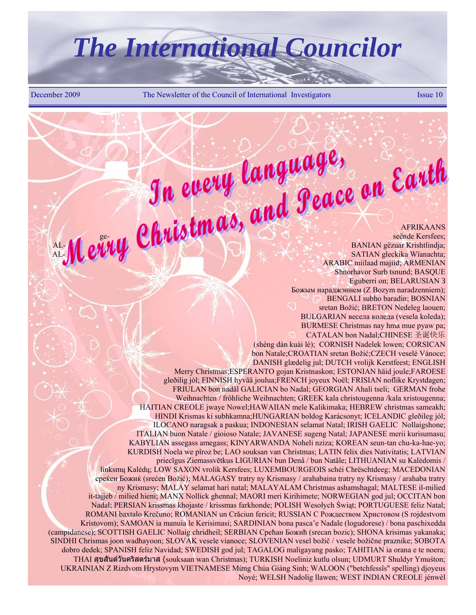# *The International Councilor*

December 2009 The Newsletter of the Council of International Investigators Issue 10

**AREIGNALIA THUWER AFRIKAANS** ge- seënde Kersfees; AL- **MAL- MALIAN SANIAN gëzuar Krishtlindja**; AL- SATIAN gleckika Wïanachta; ARABIC miilaad majiid; ARMENIAN Shnorhavor Surb tsnund; BASQUE Eguberri on; BELARUSIAN З Божым нараджэннем (Z Bozym naradzenniem); BENGALI subho baradin; BOSNIAN sretan Božić; BRETON Nedeleg laouen; BULGARIAN весела коледа (vesela koleda); BURMESE Christmas nay hma mue pyaw pa; CATALAN bon Nadal;CHINESE 圣诞快乐 (shèng dàn kuài lè); CORNISH Nadelek lowen; CORSICAN bon Natale;CROATIAN sretan Božić;CZECH veselé Vánoce; DANISH glædelig jul; DUTCH vrolijk Kerstfeest; ENGLISH Merry Christmas;ESPERANTO gojan Kristnaskon; ESTONIAN häid joule;FAROESE gleðilig jól; FINNISH hyvää joulua;FRENCH joyeux Noël; FRISIAN noflike Krystdagen; FRIULAN bon nadâl GALICIAN bo Nadal; GEORGIAN Ahali tseli; GERMAN frohe Weihnachten / fröhliche Weihnachten; GREEK kala christougenna /kala xristougenna; HAITIAN CREOLE jwaye Nowel;HAWAIIAN mele Kalikimaka; HEBREW christmas sameakh; HINDI Krismas ki subhkamna;HUNGARIAN boldog Karácsonyt; ICELANDIC gleðileg jól; ILOCANO naragsak a paskua; INDONESIAN selamat Natal; IRISH GAELIC Nollaigshone; ITALIAN buon Natale / gioioso Natale; JAVANESE sugeng Natal; JAPANESE merii kurisumasu; KABYLIAN assegass amegass; KINYARWANDA Noheli nziza; KOREAN seun-tan chu-ka-hae-yo; KURDISH Noela we pîroz be; LAO souksan van Christmas; LATIN felix dies Nativitatis; LATVIAN priecīgus Ziemassvētkus LIGURIAN bun Denâ / bun Natâle; LITHUANIAN su Kalėdomis / linksmų Kalėdų; LOW SAXON vrolik Kersfees; LUXEMBOURGEOIS schéi Chrëschtdeeg; MACEDONIAN среќен Божиќ (srećen Božić); MALAGASY tratry ny Krismasy / arahabaina tratry ny Krismasy / arahaba tratry ny Krismasy; MALAY selamat hari natal; MALAYALAM Christmas ashamshagal; MALTESE il-milied it-tajjeb / milied hieni; MANX Nollick ghennal; MAORI meri Kirihimete; NORWEGIAN god jul; OCCITAN bon Nadal; PERSIAN krissmas khojaste / krissmas farkhonde; POLISH Wesołych Świąt; PORTUGUESE feliz Natal; ROMANI baxtalo Krečuno; ROMANIAN un Crăciun fericit; RUSSIAN C Pождеством Xристовом (S rojdestvom Kristovom); SAMOAN ia manuia le Kerisimasi; SARDINIAN bona pasca'e Nadale (logudorese) / bona paschixedda (campidanese); SCOTTISH GAELIC Nollaig chridheil; SERBIAN Срећан Божић (srecan bozic); SHONA krisimas yakanaka; SINDHI Chrismas joon wadhayoon; SLOVAK vesele vianoce; SLOVENIAN vesel božič / vesele božične praznike; SOBOTA dobro dedek; SPANISH feliz Navidad; SWEDISH god jul; TAGALOG maligayang pasko; TAHITIAN ia orana e te noera; THAI สุขสันตว ันครสตร ิ มาส (souksaan wan Christmas); TURKISH Noeliniz kutlu olsun; UDMURT Shuldyr Ymuśton; UKRAINIAN Z Rizdvom Hrystovym VIETNAMESE Mừng Chúa Giáng Sinh; WALOON ("betchfessîs" spelling) djoyeus Noyé; WELSH Nadolig llawen; WEST INDIAN CREOLE jénwèl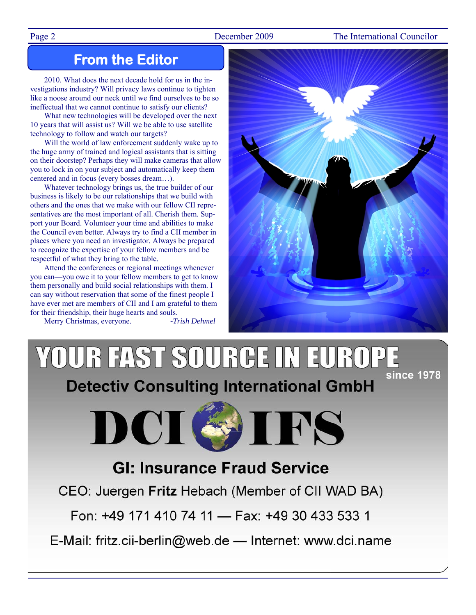### Page 2 December 2009 The International Councilor

### **From the Editor**

2010. What does the next decade hold for us in the investigations industry? Will privacy laws continue to tighten like a noose around our neck until we find ourselves to be so ineffectual that we cannot continue to satisfy our clients?

What new technologies will be developed over the next 10 years that will assist us? Will we be able to use satellite technology to follow and watch our targets?

Will the world of law enforcement suddenly wake up to the huge army of trained and logical assistants that is sitting on their doorstep? Perhaps they will make cameras that allow you to lock in on your subject and automatically keep them centered and in focus (every bosses dream…).

Whatever technology brings us, the true builder of our business is likely to be our relationships that we build with others and the ones that we make with our fellow CII representatives are the most important of all. Cherish them. Support your Board. Volunteer your time and abilities to make the Council even better. Always try to find a CII member in places where you need an investigator. Always be prepared to recognize the expertise of your fellow members and be respectful of what they bring to the table.

Attend the conferences or regional meetings whenever you can—you owe it to your fellow members to get to know them personally and build social relationships with them. I can say without reservation that some of the finest people I have ever met are members of CII and I am grateful to them for their friendship, their huge hearts and souls.

Merry Christmas, everyone. *-Trish Dehmel*



### YOUR FAST SOURGE IN EUROP **since 1978 Detectiv Consulting International GmbH**



### **GI: Insurance Fraud Service**

CEO: Juergen Fritz Hebach (Member of CII WAD BA)

Fon: +49 171 410 74 11 - Fax: +49 30 433 533 1

E-Mail: fritz.cii-berlin@web.de - Internet: www.dci.name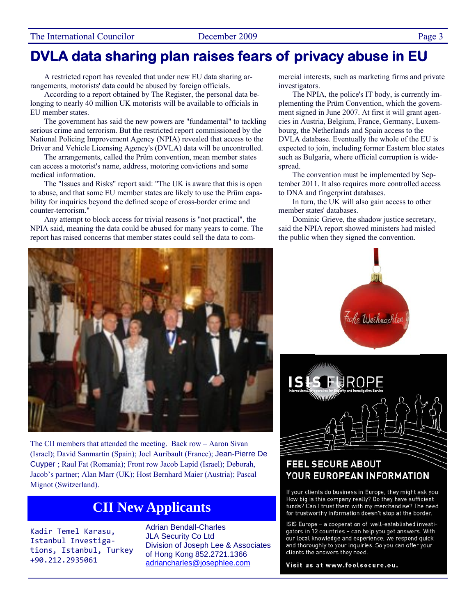### **DVLA data sharing plan raises fears of privacy abuse in EU**

A restricted report has revealed that under new EU data sharing arrangements, motorists' data could be abused by foreign officials.

According to a report obtained by The Register, the personal data belonging to nearly 40 million UK motorists will be available to officials in EU member states.

The government has said the new powers are "fundamental" to tackling serious crime and terrorism. But the restricted report commissioned by the National Policing Improvement Agency (NPIA) revealed that access to the Driver and Vehicle Licensing Agency's (DVLA) data will be uncontrolled.

The arrangements, called the Prüm convention, mean member states can access a motorist's name, address, motoring convictions and some medical information.

The "Issues and Risks" report said: "The UK is aware that this is open to abuse, and that some EU member states are likely to use the Prüm capability for inquiries beyond the defined scope of cross-border crime and counter-terrorism."

Any attempt to block access for trivial reasons is "not practical", the NPIA said, meaning the data could be abused for many years to come. The report has raised concerns that member states could sell the data to commercial interests, such as marketing firms and private investigators.

The NPIA, the police's IT body, is currently implementing the Prüm Convention, which the government signed in June 2007. At first it will grant agencies in Austria, Belgium, France, Germany, Luxembourg, the Netherlands and Spain access to the DVLA database. Eventually the whole of the EU is expected to join, including former Eastern bloc states such as Bulgaria, where official corruption is widespread.

The convention must be implemented by September 2011. It also requires more controlled access to DNA and fingerprint databases.

In turn, the UK will also gain access to other member states' databases.

Dominic Grieve, the shadow justice secretary, said the NPIA report showed ministers had misled the public when they signed the convention.



The CII members that attended the meeting. Back row – Aaron Sivan (Israel); David Sanmartin (Spain); Joel Auribault (France); Jean-Pierre De Cuyper ; Raul Fat (Romania); Front row Jacob Lapid (Israel); Deborah, Jacob's partner; Alan Marr (UK); Host Bernhard Maier (Austria); Pascal Mignot (Switzerland).

### **CII New Applicants**

Kadir Temel Karasu, Istanbul Investiga‐ tions, Istanbul, Turkey +90.212.2935061

Adrian Bendall-Charles JLA Security Co Ltd Division of Joseph Lee & Associates of Hong Kong 852.2721.1366 adriancharles@josephlee.com





### **FEEL SECURE ABOUT** YOUR EUROPEAN INFORMATION

If your clients do business in Europe, they might ask you: How big is this company really? Do they have sufficient funds? Can I trust them with my merchandise? The need for trustworthy information doesn't stop at the border.

ISIS Europe - a cooperation of well-established investigators in 12 countries - can help you get answers. With our local knowledge and experience, we respond quick and thoroughly to your inquiries. So you can offer your clients the answers they need.

Visit us at www.feelsecure.eu.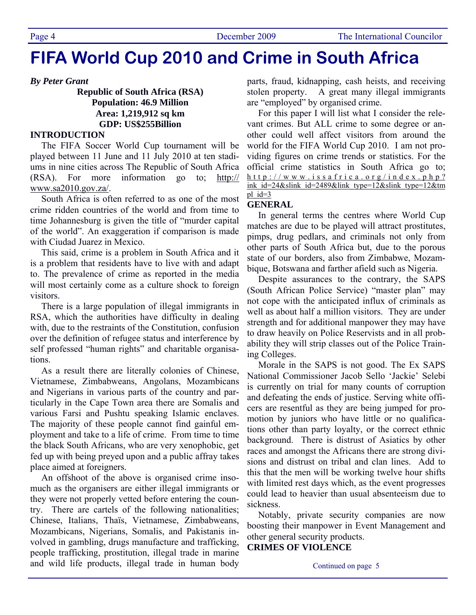## **FIFA World Cup 2010 and Crime in South Africa**

*By Peter Grant* 

**Republic of South Africa (RSA) Population: 46.9 Million Area: 1,219,912 sq km GDP: US\$255Billion** 

### **INTRODUCTION**

The FIFA Soccer World Cup tournament will be played between 11 June and 11 July 2010 at ten stadiums in nine cities across The Republic of South Africa (RSA). For more information go to; http:// www.sa2010.gov.za/.

South Africa is often referred to as one of the most crime ridden countries of the world and from time to time Johannesburg is given the title of "murder capital of the world". An exaggeration if comparison is made with Ciudad Juarez in Mexico.

This said, crime is a problem in South Africa and it is a problem that residents have to live with and adapt to. The prevalence of crime as reported in the media will most certainly come as a culture shock to foreign visitors.

There is a large population of illegal immigrants in RSA, which the authorities have difficulty in dealing with, due to the restraints of the Constitution, confusion over the definition of refugee status and interference by self professed "human rights" and charitable organisations.

As a result there are literally colonies of Chinese, Vietnamese, Zimbabweans, Angolans, Mozambicans and Nigerians in various parts of the country and particularly in the Cape Town area there are Somalis and various Farsi and Pushtu speaking Islamic enclaves. The majority of these people cannot find gainful employment and take to a life of crime. From time to time the black South Africans, who are very xenophobic, get fed up with being preyed upon and a public affray takes place aimed at foreigners.

An offshoot of the above is organised crime insomuch as the organisers are either illegal immigrants or they were not properly vetted before entering the country. There are cartels of the following nationalities; Chinese, Italians, Thaïs, Vietnamese, Zimbabweans, Mozambicans, Nigerians, Somalis, and Pakistanis involved in gambling, drugs manufacture and trafficking, people trafficking, prostitution, illegal trade in marine and wild life products, illegal trade in human body parts, fraud, kidnapping, cash heists, and receiving stolen property. A great many illegal immigrants are "employed" by organised crime.

For this paper I will list what I consider the relevant crimes. But ALL crime to some degree or another could well affect visitors from around the world for the FIFA World Cup 2010. I am not providing figures on crime trends or statistics. For the official crime statistics in South Africa go to; http://www.issafrica.org/index.php? ink id=24&slink id=2489&link type=12&slink type=12&tm pl  $id=3$ 

### **GENERAL**

In general terms the centres where World Cup matches are due to be played will attract prostitutes, pimps, drug pedlars, and criminals not only from other parts of South Africa but, due to the porous state of our borders, also from Zimbabwe, Mozambique, Botswana and farther afield such as Nigeria.

Despite assurances to the contrary, the SAPS (South African Police Service) "master plan" may not cope with the anticipated influx of criminals as well as about half a million visitors. They are under strength and for additional manpower they may have to draw heavily on Police Reservists and in all probability they will strip classes out of the Police Training Colleges.

Morale in the SAPS is not good. The Ex SAPS National Commissioner Jacob Sello 'Jackie' Selebi is currently on trial for many counts of corruption and defeating the ends of justice. Serving white officers are resentful as they are being jumped for promotion by juniors who have little or no qualifications other than party loyalty, or the correct ethnic background. There is distrust of Asiatics by other races and amongst the Africans there are strong divisions and distrust on tribal and clan lines. Add to this that the men will be working twelve hour shifts with limited rest days which, as the event progresses could lead to heavier than usual absenteeism due to sickness.

Notably, private security companies are now boosting their manpower in Event Management and other general security products.

### **CRIMES OF VIOLENCE**

Continued on page 5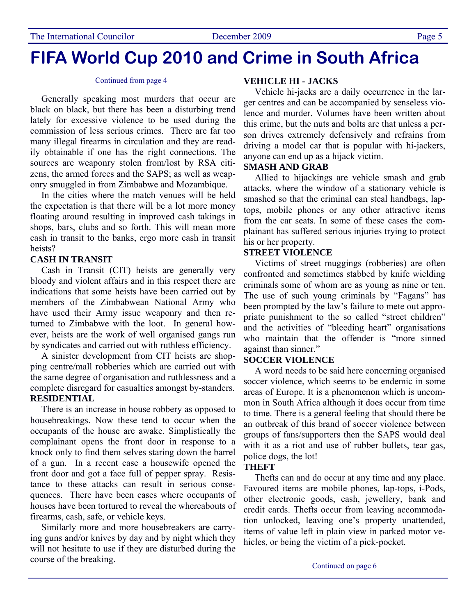### **FIFA World Cup 2010 and Crime in South Africa**

#### Continued from page 4

Generally speaking most murders that occur are black on black, but there has been a disturbing trend lately for excessive violence to be used during the commission of less serious crimes. There are far too many illegal firearms in circulation and they are readily obtainable if one has the right connections. The sources are weaponry stolen from/lost by RSA citizens, the armed forces and the SAPS; as well as weaponry smuggled in from Zimbabwe and Mozambique.

In the cities where the match venues will be held the expectation is that there will be a lot more money floating around resulting in improved cash takings in shops, bars, clubs and so forth. This will mean more cash in transit to the banks, ergo more cash in transit heists?

#### **CASH IN TRANSIT**

Cash in Transit (CIT) heists are generally very bloody and violent affairs and in this respect there are indications that some heists have been carried out by members of the Zimbabwean National Army who have used their Army issue weaponry and then returned to Zimbabwe with the loot. In general however, heists are the work of well organised gangs run by syndicates and carried out with ruthless efficiency.

A sinister development from CIT heists are shopping centre/mall robberies which are carried out with the same degree of organisation and ruthlessness and a complete disregard for casualties amongst by-standers. **RESIDENTIAL** 

There is an increase in house robbery as opposed to housebreakings. Now these tend to occur when the occupants of the house are awake. Simplistically the complainant opens the front door in response to a knock only to find them selves staring down the barrel of a gun. In a recent case a housewife opened the front door and got a face full of pepper spray. Resistance to these attacks can result in serious consequences. There have been cases where occupants of houses have been tortured to reveal the whereabouts of firearms, cash, safe, or vehicle keys.

Similarly more and more housebreakers are carrying guns and/or knives by day and by night which they will not hesitate to use if they are disturbed during the course of the breaking.

### **VEHICLE HI - JACKS**

Vehicle hi-jacks are a daily occurrence in the larger centres and can be accompanied by senseless violence and murder. Volumes have been written about this crime, but the nuts and bolts are that unless a person drives extremely defensively and refrains from driving a model car that is popular with hi-jackers, anyone can end up as a hijack victim.

#### **SMASH AND GRAB**

Allied to hijackings are vehicle smash and grab attacks, where the window of a stationary vehicle is smashed so that the criminal can steal handbags, laptops, mobile phones or any other attractive items from the car seats. In some of these cases the complainant has suffered serious injuries trying to protect his or her property.

### **STREET VIOLENCE**

Victims of street muggings (robberies) are often confronted and sometimes stabbed by knife wielding criminals some of whom are as young as nine or ten. The use of such young criminals by "Fagans" has been prompted by the law's failure to mete out appropriate punishment to the so called "street children" and the activities of "bleeding heart" organisations who maintain that the offender is "more sinned against than sinner."

### **SOCCER VIOLENCE**

A word needs to be said here concerning organised soccer violence, which seems to be endemic in some areas of Europe. It is a phenomenon which is uncommon in South Africa although it does occur from time to time. There is a general feeling that should there be an outbreak of this brand of soccer violence between groups of fans/supporters then the SAPS would deal with it as a riot and use of rubber bullets, tear gas, police dogs, the lot!

### **THEFT**

Thefts can and do occur at any time and any place. Favoured items are mobile phones, lap-tops, i-Pods, other electronic goods, cash, jewellery, bank and credit cards. Thefts occur from leaving accommodation unlocked, leaving one's property unattended, items of value left in plain view in parked motor vehicles, or being the victim of a pick-pocket.